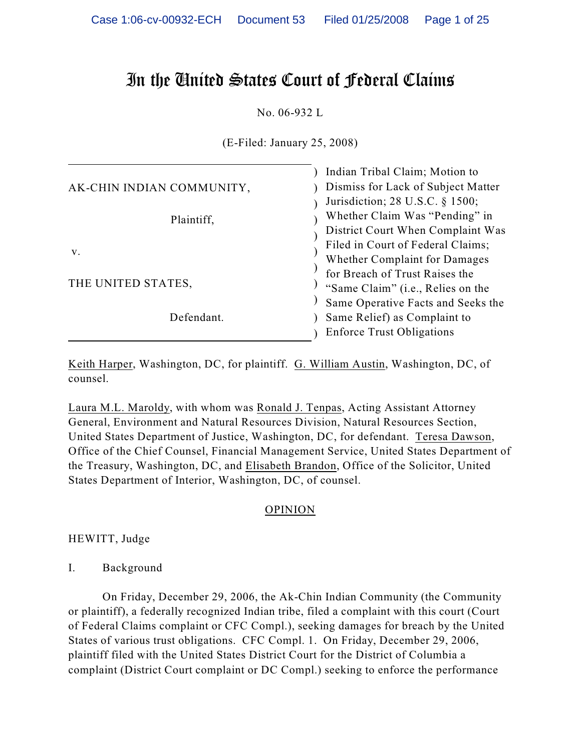# In the United States Court of Federal Claims

No. 06-932 L

(E-Filed: January 25, 2008)

|                                  | Indian Tribal Claim; Motion to     |
|----------------------------------|------------------------------------|
| AK-CHIN INDIAN COMMUNITY,        | Dismiss for Lack of Subject Matter |
|                                  | Jurisdiction; 28 U.S.C. § 1500;    |
| Plaintiff,                       | Whether Claim Was "Pending" in     |
|                                  | District Court When Complaint Was  |
| V.                               | Filed in Court of Federal Claims;  |
|                                  | Whether Complaint for Damages      |
| THE UNITED STATES,<br>Defendant. | for Breach of Trust Raises the     |
|                                  | "Same Claim" (i.e., Relies on the  |
|                                  | Same Operative Facts and Seeks the |
|                                  | Same Relief) as Complaint to       |
|                                  | <b>Enforce Trust Obligations</b>   |
|                                  |                                    |

Keith Harper, Washington, DC, for plaintiff. G. William Austin, Washington, DC, of counsel.

Laura M.L. Maroldy, with whom was Ronald J. Tenpas, Acting Assistant Attorney General, Environment and Natural Resources Division, Natural Resources Section, United States Department of Justice, Washington, DC, for defendant. Teresa Dawson, Office of the Chief Counsel, Financial Management Service, United States Department of the Treasury, Washington, DC, and Elisabeth Brandon, Office of the Solicitor, United States Department of Interior, Washington, DC, of counsel.

## OPINION

HEWITT, Judge

I. Background

On Friday, December 29, 2006, the Ak-Chin Indian Community (the Community or plaintiff), a federally recognized Indian tribe, filed a complaint with this court (Court of Federal Claims complaint or CFC Compl.), seeking damages for breach by the United States of various trust obligations. CFC Compl. 1. On Friday, December 29, 2006, plaintiff filed with the United States District Court for the District of Columbia a complaint (District Court complaint or DC Compl.) seeking to enforce the performance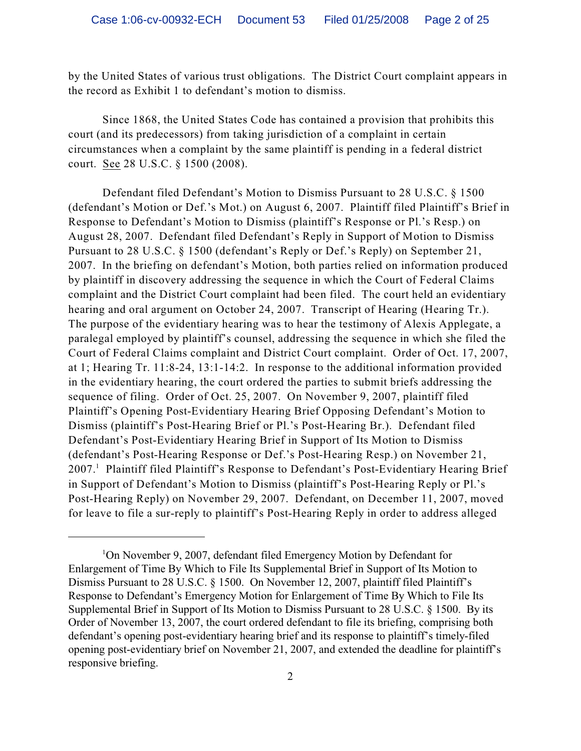by the United States of various trust obligations. The District Court complaint appears in the record as Exhibit 1 to defendant's motion to dismiss.

Since 1868, the United States Code has contained a provision that prohibits this court (and its predecessors) from taking jurisdiction of a complaint in certain circumstances when a complaint by the same plaintiff is pending in a federal district court. See 28 U.S.C. § 1500 (2008).

Defendant filed Defendant's Motion to Dismiss Pursuant to 28 U.S.C. § 1500 (defendant's Motion or Def.'s Mot.) on August 6, 2007. Plaintiff filed Plaintiff's Brief in Response to Defendant's Motion to Dismiss (plaintiff's Response or Pl.'s Resp.) on August 28, 2007. Defendant filed Defendant's Reply in Support of Motion to Dismiss Pursuant to 28 U.S.C. § 1500 (defendant's Reply or Def.'s Reply) on September 21, 2007. In the briefing on defendant's Motion, both parties relied on information produced by plaintiff in discovery addressing the sequence in which the Court of Federal Claims complaint and the District Court complaint had been filed. The court held an evidentiary hearing and oral argument on October 24, 2007. Transcript of Hearing (Hearing Tr.). The purpose of the evidentiary hearing was to hear the testimony of Alexis Applegate, a paralegal employed by plaintiff's counsel, addressing the sequence in which she filed the Court of Federal Claims complaint and District Court complaint. Order of Oct. 17, 2007, at 1; Hearing Tr. 11:8-24, 13:1-14:2. In response to the additional information provided in the evidentiary hearing, the court ordered the parties to submit briefs addressing the sequence of filing. Order of Oct. 25, 2007. On November 9, 2007, plaintiff filed Plaintiff's Opening Post-Evidentiary Hearing Brief Opposing Defendant's Motion to Dismiss (plaintiff's Post-Hearing Brief or Pl.'s Post-Hearing Br.). Defendant filed Defendant's Post-Evidentiary Hearing Brief in Support of Its Motion to Dismiss (defendant's Post-Hearing Response or Def.'s Post-Hearing Resp.) on November 21, 2007.<sup>1</sup> Plaintiff filed Plaintiff's Response to Defendant's Post-Evidentiary Hearing Brief in Support of Defendant's Motion to Dismiss (plaintiff's Post-Hearing Reply or Pl.'s Post-Hearing Reply) on November 29, 2007. Defendant, on December 11, 2007, moved for leave to file a sur-reply to plaintiff's Post-Hearing Reply in order to address alleged

<sup>&</sup>lt;sup>1</sup>On November 9, 2007, defendant filed Emergency Motion by Defendant for Enlargement of Time By Which to File Its Supplemental Brief in Support of Its Motion to Dismiss Pursuant to 28 U.S.C. § 1500. On November 12, 2007, plaintiff filed Plaintiff's Response to Defendant's Emergency Motion for Enlargement of Time By Which to File Its Supplemental Brief in Support of Its Motion to Dismiss Pursuant to 28 U.S.C. § 1500. By its Order of November 13, 2007, the court ordered defendant to file its briefing, comprising both defendant's opening post-evidentiary hearing brief and its response to plaintiff's timely-filed opening post-evidentiary brief on November 21, 2007, and extended the deadline for plaintiff's responsive briefing.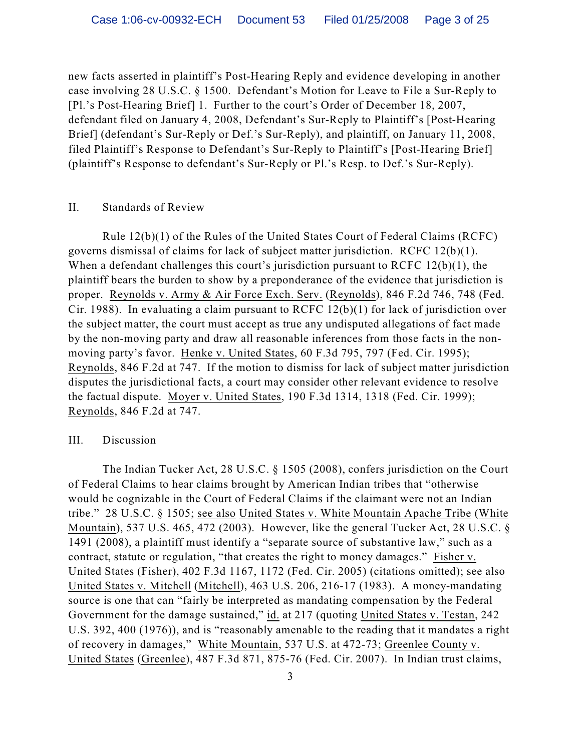new facts asserted in plaintiff's Post-Hearing Reply and evidence developing in another case involving 28 U.S.C. § 1500. Defendant's Motion for Leave to File a Sur-Reply to [Pl.'s Post-Hearing Brief] 1. Further to the court's Order of December 18, 2007, defendant filed on January 4, 2008, Defendant's Sur-Reply to Plaintiff's [Post-Hearing Brief] (defendant's Sur-Reply or Def.'s Sur-Reply), and plaintiff, on January 11, 2008, filed Plaintiff's Response to Defendant's Sur-Reply to Plaintiff's [Post-Hearing Brief] (plaintiff's Response to defendant's Sur-Reply or Pl.'s Resp. to Def.'s Sur-Reply).

#### II. Standards of Review

Rule 12(b)(1) of the Rules of the United States Court of Federal Claims (RCFC) governs dismissal of claims for lack of subject matter jurisdiction. RCFC 12(b)(1). When a defendant challenges this court's jurisdiction pursuant to RCFC 12(b)(1), the plaintiff bears the burden to show by a preponderance of the evidence that jurisdiction is proper. Reynolds v. Army & Air Force Exch. Serv. (Reynolds), 846 F.2d 746, 748 (Fed. Cir. 1988). In evaluating a claim pursuant to RCFC 12(b)(1) for lack of jurisdiction over the subject matter, the court must accept as true any undisputed allegations of fact made by the non-moving party and draw all reasonable inferences from those facts in the nonmoving party's favor. Henke v. United States, 60 F.3d 795, 797 (Fed. Cir. 1995); Reynolds, 846 F.2d at 747. If the motion to dismiss for lack of subject matter jurisdiction disputes the jurisdictional facts, a court may consider other relevant evidence to resolve the factual dispute. Moyer v. United States, 190 F.3d 1314, 1318 (Fed. Cir. 1999); Reynolds, 846 F.2d at 747.

## III. Discussion

The Indian Tucker Act, 28 U.S.C. § 1505 (2008), confers jurisdiction on the Court of Federal Claims to hear claims brought by American Indian tribes that "otherwise would be cognizable in the Court of Federal Claims if the claimant were not an Indian tribe." 28 U.S.C. § 1505; see also United States v. White Mountain Apache Tribe (White Mountain), 537 U.S. 465, 472 (2003). However, like the general Tucker Act, 28 U.S.C. § 1491 (2008), a plaintiff must identify a "separate source of substantive law," such as a contract, statute or regulation, "that creates the right to money damages." Fisher v. United States (Fisher), 402 F.3d 1167, 1172 (Fed. Cir. 2005) (citations omitted); see also United States v. Mitchell (Mitchell), 463 U.S. 206, 216-17 (1983). A money-mandating source is one that can "fairly be interpreted as mandating compensation by the Federal Government for the damage sustained," id. at 217 (quoting United States v. Testan, 242 U.S. 392, 400 (1976)), and is "reasonably amenable to the reading that it mandates a right of recovery in damages," White Mountain, 537 U.S. at 472-73; Greenlee County v. United States (Greenlee), 487 F.3d 871, 875-76 (Fed. Cir. 2007). In Indian trust claims,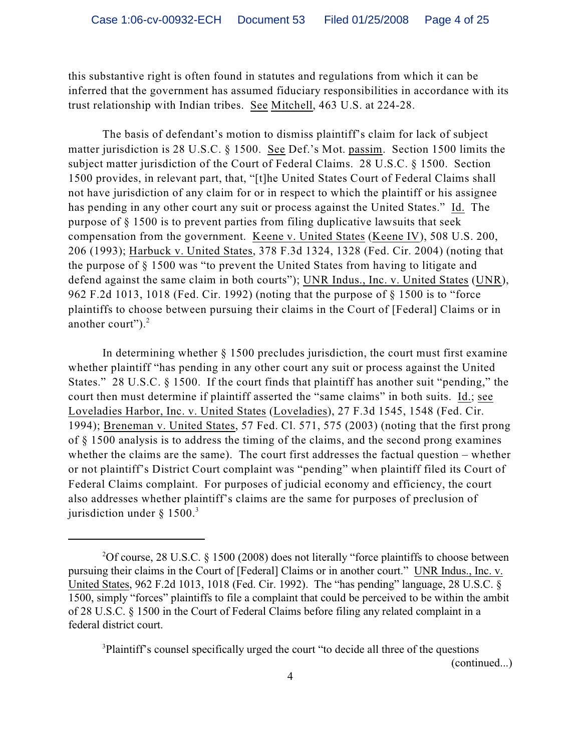this substantive right is often found in statutes and regulations from which it can be inferred that the government has assumed fiduciary responsibilities in accordance with its trust relationship with Indian tribes. See Mitchell, 463 U.S. at 224-28.

The basis of defendant's motion to dismiss plaintiff's claim for lack of subject matter jurisdiction is 28 U.S.C. § 1500. See Def.'s Mot. passim. Section 1500 limits the subject matter jurisdiction of the Court of Federal Claims. 28 U.S.C. § 1500. Section 1500 provides, in relevant part, that, "[t]he United States Court of Federal Claims shall not have jurisdiction of any claim for or in respect to which the plaintiff or his assignee has pending in any other court any suit or process against the United States." Id. The purpose of § 1500 is to prevent parties from filing duplicative lawsuits that seek compensation from the government. Keene v. United States (Keene IV), 508 U.S. 200, 206 (1993); Harbuck v. United States, 378 F.3d 1324, 1328 (Fed. Cir. 2004) (noting that the purpose of § 1500 was "to prevent the United States from having to litigate and defend against the same claim in both courts"); UNR Indus., Inc. v. United States (UNR), 962 F.2d 1013, 1018 (Fed. Cir. 1992) (noting that the purpose of § 1500 is to "force plaintiffs to choose between pursuing their claims in the Court of [Federal] Claims or in another court"). $2$ 

In determining whether § 1500 precludes jurisdiction, the court must first examine whether plaintiff "has pending in any other court any suit or process against the United States." 28 U.S.C. § 1500. If the court finds that plaintiff has another suit "pending," the court then must determine if plaintiff asserted the "same claims" in both suits. Id.; see Loveladies Harbor, Inc. v. United States (Loveladies), 27 F.3d 1545, 1548 (Fed. Cir. 1994); Breneman v. United States, 57 Fed. Cl. 571, 575 (2003) (noting that the first prong of § 1500 analysis is to address the timing of the claims, and the second prong examines whether the claims are the same). The court first addresses the factual question – whether or not plaintiff's District Court complaint was "pending" when plaintiff filed its Court of Federal Claims complaint. For purposes of judicial economy and efficiency, the court also addresses whether plaintiff's claims are the same for purposes of preclusion of jurisdiction under  $§$  1500.<sup>3</sup>

<sup>3</sup>Plaintiff's counsel specifically urged the court "to decide all three of the questions (continued...)

<sup>&</sup>lt;sup>2</sup>Of course, 28 U.S.C. § 1500 (2008) does not literally "force plaintiffs to choose between pursuing their claims in the Court of [Federal] Claims or in another court." UNR Indus., Inc. v. United States, 962 F.2d 1013, 1018 (Fed. Cir. 1992). The "has pending" language, 28 U.S.C. § 1500, simply "forces" plaintiffs to file a complaint that could be perceived to be within the ambit of 28 U.S.C. § 1500 in the Court of Federal Claims before filing any related complaint in a federal district court.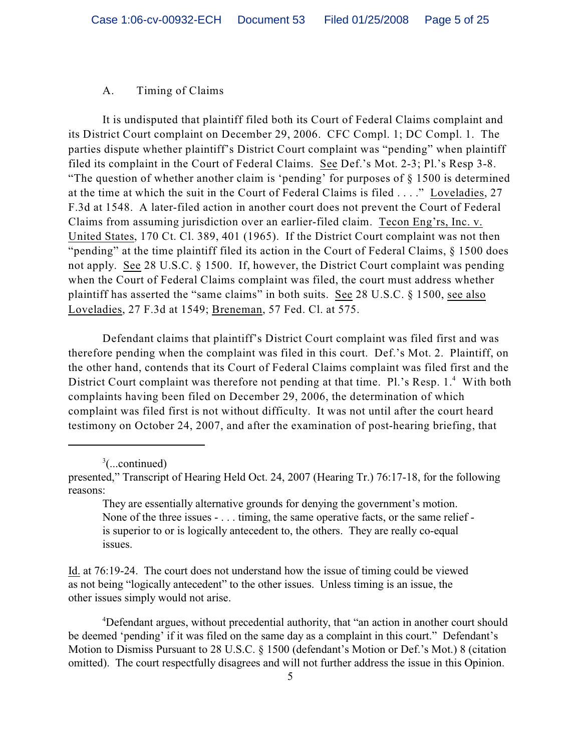## A. Timing of Claims

It is undisputed that plaintiff filed both its Court of Federal Claims complaint and its District Court complaint on December 29, 2006. CFC Compl. 1; DC Compl. 1. The parties dispute whether plaintiff's District Court complaint was "pending" when plaintiff filed its complaint in the Court of Federal Claims. See Def.'s Mot. 2-3; Pl.'s Resp 3-8. "The question of whether another claim is 'pending' for purposes of § 1500 is determined at the time at which the suit in the Court of Federal Claims is filed . . . ." Loveladies, 27 F.3d at 1548. A later-filed action in another court does not prevent the Court of Federal Claims from assuming jurisdiction over an earlier-filed claim. Tecon Eng'rs, Inc. v. United States, 170 Ct. Cl. 389, 401 (1965). If the District Court complaint was not then "pending" at the time plaintiff filed its action in the Court of Federal Claims, § 1500 does not apply. See 28 U.S.C. § 1500. If, however, the District Court complaint was pending when the Court of Federal Claims complaint was filed, the court must address whether plaintiff has asserted the "same claims" in both suits. See 28 U.S.C. § 1500, see also Loveladies, 27 F.3d at 1549; Breneman, 57 Fed. Cl. at 575.

Defendant claims that plaintiff's District Court complaint was filed first and was therefore pending when the complaint was filed in this court. Def.'s Mot. 2. Plaintiff, on the other hand, contends that its Court of Federal Claims complaint was filed first and the District Court complaint was therefore not pending at that time. Pl.'s Resp.  $1<sup>4</sup>$  With both complaints having been filed on December 29, 2006, the determination of which complaint was filed first is not without difficulty. It was not until after the court heard testimony on October 24, 2007, and after the examination of post-hearing briefing, that

Id. at 76:19-24. The court does not understand how the issue of timing could be viewed as not being "logically antecedent" to the other issues. Unless timing is an issue, the other issues simply would not arise.

<sup>4</sup>Defendant argues, without precedential authority, that "an action in another court should be deemed 'pending' if it was filed on the same day as a complaint in this court." Defendant's Motion to Dismiss Pursuant to 28 U.S.C. § 1500 (defendant's Motion or Def.'s Mot.) 8 (citation omitted). The court respectfully disagrees and will not further address the issue in this Opinion.

 $\frac{3}{2}$ (...continued)

presented," Transcript of Hearing Held Oct. 24, 2007 (Hearing Tr.) 76:17-18, for the following reasons:

They are essentially alternative grounds for denying the government's motion. None of the three issues - . . . timing, the same operative facts, or the same relief is superior to or is logically antecedent to, the others. They are really co-equal issues.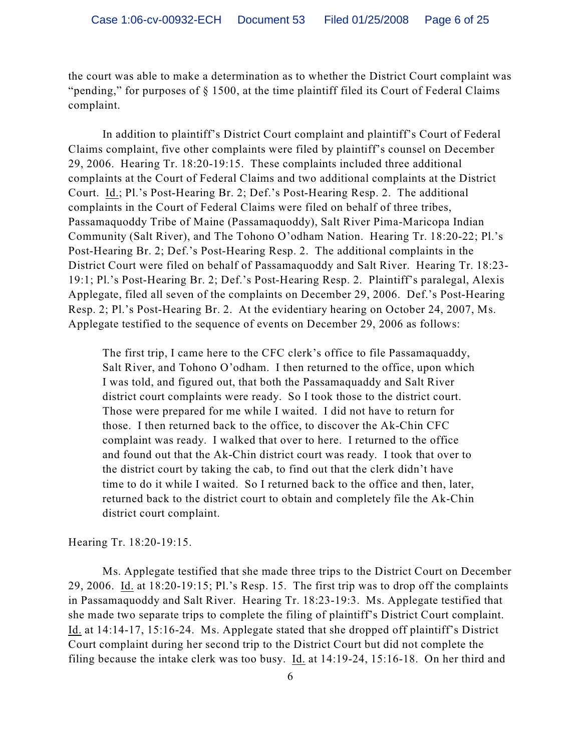the court was able to make a determination as to whether the District Court complaint was "pending," for purposes of § 1500, at the time plaintiff filed its Court of Federal Claims complaint.

In addition to plaintiff's District Court complaint and plaintiff's Court of Federal Claims complaint, five other complaints were filed by plaintiff's counsel on December 29, 2006. Hearing Tr. 18:20-19:15. These complaints included three additional complaints at the Court of Federal Claims and two additional complaints at the District Court. Id.; Pl.'s Post-Hearing Br. 2; Def.'s Post-Hearing Resp. 2. The additional complaints in the Court of Federal Claims were filed on behalf of three tribes, Passamaquoddy Tribe of Maine (Passamaquoddy), Salt River Pima-Maricopa Indian Community (Salt River), and The Tohono O'odham Nation. Hearing Tr. 18:20-22; Pl.'s Post-Hearing Br. 2; Def.'s Post-Hearing Resp. 2. The additional complaints in the District Court were filed on behalf of Passamaquoddy and Salt River. Hearing Tr. 18:23- 19:1; Pl.'s Post-Hearing Br. 2; Def.'s Post-Hearing Resp. 2. Plaintiff's paralegal, Alexis Applegate, filed all seven of the complaints on December 29, 2006. Def.'s Post-Hearing Resp. 2; Pl.'s Post-Hearing Br. 2. At the evidentiary hearing on October 24, 2007, Ms. Applegate testified to the sequence of events on December 29, 2006 as follows:

The first trip, I came here to the CFC clerk's office to file Passamaquaddy, Salt River, and Tohono O'odham. I then returned to the office, upon which I was told, and figured out, that both the Passamaquaddy and Salt River district court complaints were ready. So I took those to the district court. Those were prepared for me while I waited. I did not have to return for those. I then returned back to the office, to discover the Ak-Chin CFC complaint was ready. I walked that over to here. I returned to the office and found out that the Ak-Chin district court was ready. I took that over to the district court by taking the cab, to find out that the clerk didn't have time to do it while I waited. So I returned back to the office and then, later, returned back to the district court to obtain and completely file the Ak-Chin district court complaint.

Hearing Tr. 18:20-19:15.

Ms. Applegate testified that she made three trips to the District Court on December 29, 2006. Id. at 18:20-19:15; Pl.'s Resp. 15. The first trip was to drop off the complaints in Passamaquoddy and Salt River. Hearing Tr. 18:23-19:3. Ms. Applegate testified that she made two separate trips to complete the filing of plaintiff's District Court complaint. Id. at 14:14-17, 15:16-24. Ms. Applegate stated that she dropped off plaintiff's District Court complaint during her second trip to the District Court but did not complete the filing because the intake clerk was too busy. Id. at 14:19-24, 15:16-18. On her third and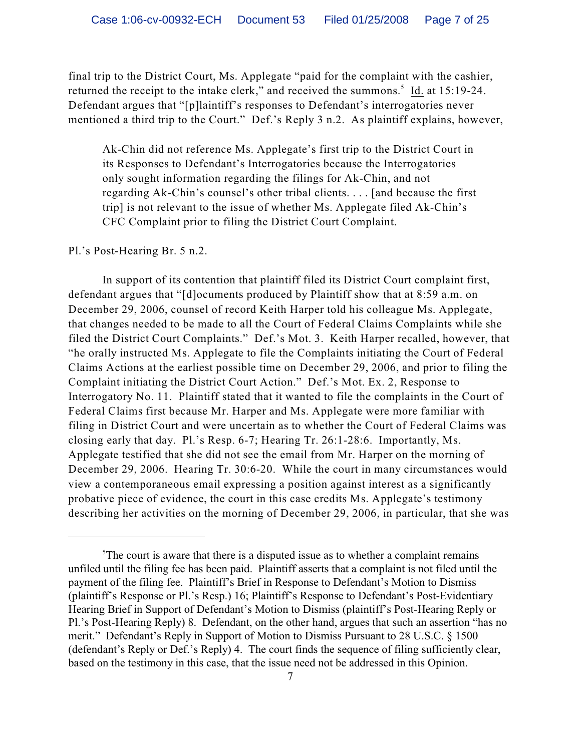final trip to the District Court, Ms. Applegate "paid for the complaint with the cashier, returned the receipt to the intake clerk," and received the summons. $5 \text{ Id.}$  at 15:19-24. Defendant argues that "[p]laintiff's responses to Defendant's interrogatories never mentioned a third trip to the Court." Def.'s Reply 3 n.2. As plaintiff explains, however,

Ak-Chin did not reference Ms. Applegate's first trip to the District Court in its Responses to Defendant's Interrogatories because the Interrogatories only sought information regarding the filings for Ak-Chin, and not regarding Ak-Chin's counsel's other tribal clients. . . . [and because the first trip] is not relevant to the issue of whether Ms. Applegate filed Ak-Chin's CFC Complaint prior to filing the District Court Complaint.

#### Pl.'s Post-Hearing Br. 5 n.2.

In support of its contention that plaintiff filed its District Court complaint first, defendant argues that "[d]ocuments produced by Plaintiff show that at 8:59 a.m. on December 29, 2006, counsel of record Keith Harper told his colleague Ms. Applegate, that changes needed to be made to all the Court of Federal Claims Complaints while she filed the District Court Complaints." Def.'s Mot. 3. Keith Harper recalled, however, that "he orally instructed Ms. Applegate to file the Complaints initiating the Court of Federal Claims Actions at the earliest possible time on December 29, 2006, and prior to filing the Complaint initiating the District Court Action." Def.'s Mot. Ex. 2, Response to Interrogatory No. 11. Plaintiff stated that it wanted to file the complaints in the Court of Federal Claims first because Mr. Harper and Ms. Applegate were more familiar with filing in District Court and were uncertain as to whether the Court of Federal Claims was closing early that day. Pl.'s Resp. 6-7; Hearing Tr. 26:1-28:6. Importantly, Ms. Applegate testified that she did not see the email from Mr. Harper on the morning of December 29, 2006. Hearing Tr. 30:6-20. While the court in many circumstances would view a contemporaneous email expressing a position against interest as a significantly probative piece of evidence, the court in this case credits Ms. Applegate's testimony describing her activities on the morning of December 29, 2006, in particular, that she was

 $5$ The court is aware that there is a disputed issue as to whether a complaint remains unfiled until the filing fee has been paid. Plaintiff asserts that a complaint is not filed until the payment of the filing fee. Plaintiff's Brief in Response to Defendant's Motion to Dismiss (plaintiff's Response or Pl.'s Resp.) 16; Plaintiff's Response to Defendant's Post-Evidentiary Hearing Brief in Support of Defendant's Motion to Dismiss (plaintiff's Post-Hearing Reply or Pl.'s Post-Hearing Reply) 8. Defendant, on the other hand, argues that such an assertion "has no merit." Defendant's Reply in Support of Motion to Dismiss Pursuant to 28 U.S.C. § 1500 (defendant's Reply or Def.'s Reply) 4. The court finds the sequence of filing sufficiently clear, based on the testimony in this case, that the issue need not be addressed in this Opinion.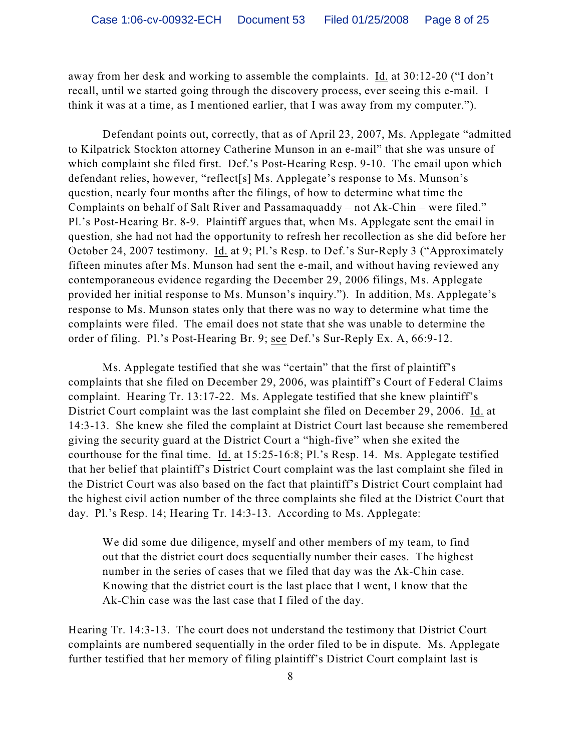away from her desk and working to assemble the complaints. Id. at 30:12-20 ("I don't recall, until we started going through the discovery process, ever seeing this e-mail. I think it was at a time, as I mentioned earlier, that I was away from my computer.").

Defendant points out, correctly, that as of April 23, 2007, Ms. Applegate "admitted to Kilpatrick Stockton attorney Catherine Munson in an e-mail" that she was unsure of which complaint she filed first. Def.'s Post-Hearing Resp. 9-10. The email upon which defendant relies, however, "reflect[s] Ms. Applegate's response to Ms. Munson's question, nearly four months after the filings, of how to determine what time the Complaints on behalf of Salt River and Passamaquaddy – not Ak-Chin – were filed." Pl.'s Post-Hearing Br. 8-9. Plaintiff argues that, when Ms. Applegate sent the email in question, she had not had the opportunity to refresh her recollection as she did before her October 24, 2007 testimony. Id. at 9; Pl.'s Resp. to Def.'s Sur-Reply 3 ("Approximately fifteen minutes after Ms. Munson had sent the e-mail, and without having reviewed any contemporaneous evidence regarding the December 29, 2006 filings, Ms. Applegate provided her initial response to Ms. Munson's inquiry."). In addition, Ms. Applegate's response to Ms. Munson states only that there was no way to determine what time the complaints were filed. The email does not state that she was unable to determine the order of filing. Pl.'s Post-Hearing Br. 9; see Def.'s Sur-Reply Ex. A, 66:9-12.

Ms. Applegate testified that she was "certain" that the first of plaintiff's complaints that she filed on December 29, 2006, was plaintiff's Court of Federal Claims complaint. Hearing Tr. 13:17-22. Ms. Applegate testified that she knew plaintiff's District Court complaint was the last complaint she filed on December 29, 2006. Id. at 14:3-13. She knew she filed the complaint at District Court last because she remembered giving the security guard at the District Court a "high-five" when she exited the courthouse for the final time. Id. at 15:25-16:8; Pl.'s Resp. 14. Ms. Applegate testified that her belief that plaintiff's District Court complaint was the last complaint she filed in the District Court was also based on the fact that plaintiff's District Court complaint had the highest civil action number of the three complaints she filed at the District Court that day. Pl.'s Resp. 14; Hearing Tr. 14:3-13. According to Ms. Applegate:

We did some due diligence, myself and other members of my team, to find out that the district court does sequentially number their cases. The highest number in the series of cases that we filed that day was the Ak-Chin case. Knowing that the district court is the last place that I went, I know that the Ak-Chin case was the last case that I filed of the day.

Hearing Tr. 14:3-13. The court does not understand the testimony that District Court complaints are numbered sequentially in the order filed to be in dispute. Ms. Applegate further testified that her memory of filing plaintiff's District Court complaint last is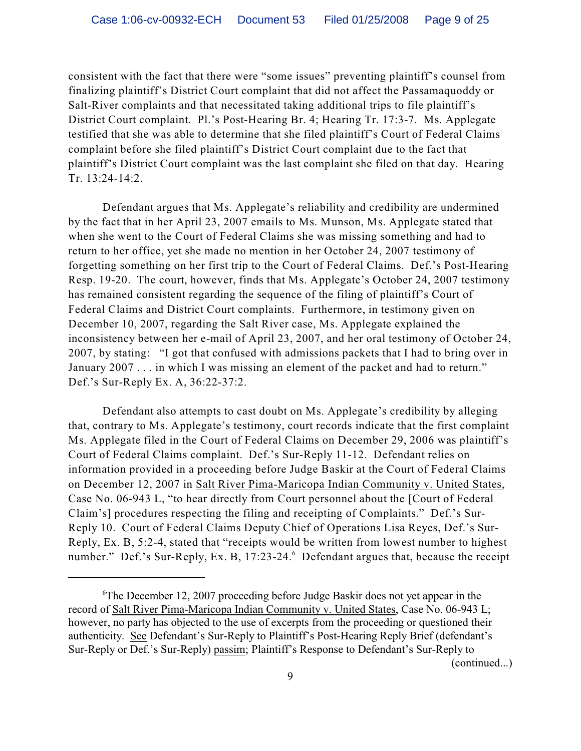consistent with the fact that there were "some issues" preventing plaintiff's counsel from finalizing plaintiff's District Court complaint that did not affect the Passamaquoddy or Salt-River complaints and that necessitated taking additional trips to file plaintiff's District Court complaint. Pl.'s Post-Hearing Br. 4; Hearing Tr. 17:3-7. Ms. Applegate testified that she was able to determine that she filed plaintiff's Court of Federal Claims complaint before she filed plaintiff's District Court complaint due to the fact that plaintiff's District Court complaint was the last complaint she filed on that day. Hearing Tr. 13:24-14:2.

Defendant argues that Ms. Applegate's reliability and credibility are undermined by the fact that in her April 23, 2007 emails to Ms. Munson, Ms. Applegate stated that when she went to the Court of Federal Claims she was missing something and had to return to her office, yet she made no mention in her October 24, 2007 testimony of forgetting something on her first trip to the Court of Federal Claims. Def.'s Post-Hearing Resp. 19-20. The court, however, finds that Ms. Applegate's October 24, 2007 testimony has remained consistent regarding the sequence of the filing of plaintiff's Court of Federal Claims and District Court complaints. Furthermore, in testimony given on December 10, 2007, regarding the Salt River case, Ms. Applegate explained the inconsistency between her e-mail of April 23, 2007, and her oral testimony of October 24, 2007, by stating: "I got that confused with admissions packets that I had to bring over in January 2007 . . . in which I was missing an element of the packet and had to return." Def.'s Sur-Reply Ex. A, 36:22-37:2.

Defendant also attempts to cast doubt on Ms. Applegate's credibility by alleging that, contrary to Ms. Applegate's testimony, court records indicate that the first complaint Ms. Applegate filed in the Court of Federal Claims on December 29, 2006 was plaintiff's Court of Federal Claims complaint. Def.'s Sur-Reply 11-12. Defendant relies on information provided in a proceeding before Judge Baskir at the Court of Federal Claims on December 12, 2007 in Salt River Pima-Maricopa Indian Community v. United States, Case No. 06-943 L, "to hear directly from Court personnel about the [Court of Federal Claim's] procedures respecting the filing and receipting of Complaints." Def.'s Sur-Reply 10. Court of Federal Claims Deputy Chief of Operations Lisa Reyes, Def.'s Sur-Reply, Ex. B, 5:2-4, stated that "receipts would be written from lowest number to highest number." Def.'s Sur-Reply, Ex. B, 17:23-24.<sup>6</sup> Defendant argues that, because the receipt

(continued...)

 ${}^6$ The December 12, 2007 proceeding before Judge Baskir does not yet appear in the record of Salt River Pima-Maricopa Indian Community v. United States, Case No. 06-943 L; however, no party has objected to the use of excerpts from the proceeding or questioned their authenticity. See Defendant's Sur-Reply to Plaintiff's Post-Hearing Reply Brief (defendant's Sur-Reply or Def.'s Sur-Reply) passim; Plaintiff's Response to Defendant's Sur-Reply to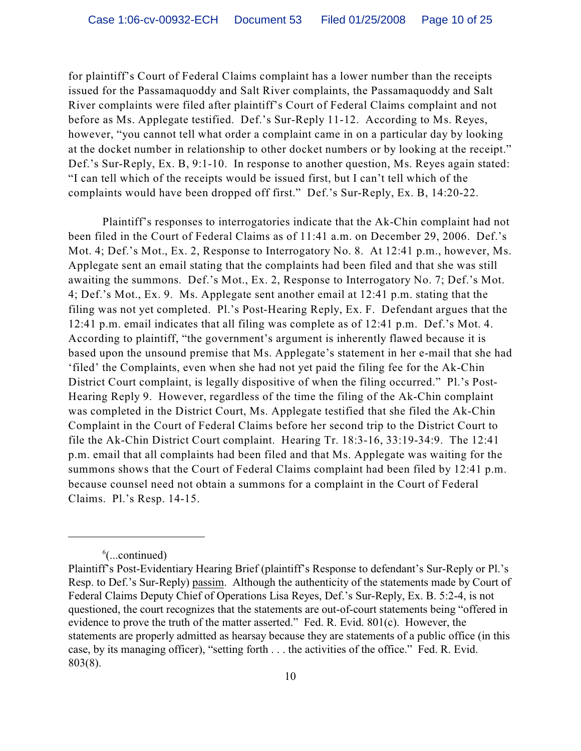for plaintiff's Court of Federal Claims complaint has a lower number than the receipts issued for the Passamaquoddy and Salt River complaints, the Passamaquoddy and Salt River complaints were filed after plaintiff's Court of Federal Claims complaint and not before as Ms. Applegate testified. Def.'s Sur-Reply 11-12. According to Ms. Reyes, however, "you cannot tell what order a complaint came in on a particular day by looking at the docket number in relationship to other docket numbers or by looking at the receipt." Def.'s Sur-Reply, Ex. B, 9:1-10. In response to another question, Ms. Reyes again stated: "I can tell which of the receipts would be issued first, but I can't tell which of the complaints would have been dropped off first." Def.'s Sur-Reply, Ex. B, 14:20-22.

Plaintiff's responses to interrogatories indicate that the Ak-Chin complaint had not been filed in the Court of Federal Claims as of 11:41 a.m. on December 29, 2006. Def.'s Mot. 4; Def.'s Mot., Ex. 2, Response to Interrogatory No. 8. At 12:41 p.m., however, Ms. Applegate sent an email stating that the complaints had been filed and that she was still awaiting the summons. Def.'s Mot., Ex. 2, Response to Interrogatory No. 7; Def.'s Mot. 4; Def.'s Mot., Ex. 9. Ms. Applegate sent another email at 12:41 p.m. stating that the filing was not yet completed. Pl.'s Post-Hearing Reply, Ex. F. Defendant argues that the 12:41 p.m. email indicates that all filing was complete as of 12:41 p.m. Def.'s Mot. 4. According to plaintiff, "the government's argument is inherently flawed because it is based upon the unsound premise that Ms. Applegate's statement in her e-mail that she had 'filed' the Complaints, even when she had not yet paid the filing fee for the Ak-Chin District Court complaint, is legally dispositive of when the filing occurred." Pl.'s Post-Hearing Reply 9. However, regardless of the time the filing of the Ak-Chin complaint was completed in the District Court, Ms. Applegate testified that she filed the Ak-Chin Complaint in the Court of Federal Claims before her second trip to the District Court to file the Ak-Chin District Court complaint. Hearing Tr. 18:3-16, 33:19-34:9. The 12:41 p.m. email that all complaints had been filed and that Ms. Applegate was waiting for the summons shows that the Court of Federal Claims complaint had been filed by 12:41 p.m. because counsel need not obtain a summons for a complaint in the Court of Federal Claims. Pl.'s Resp. 14-15.

 $\frac{6}{2}$ ...continued)

Plaintiff's Post-Evidentiary Hearing Brief (plaintiff's Response to defendant's Sur-Reply or Pl.'s Resp. to Def.'s Sur-Reply) passim. Although the authenticity of the statements made by Court of Federal Claims Deputy Chief of Operations Lisa Reyes, Def.'s Sur-Reply, Ex. B. 5:2-4, is not questioned, the court recognizes that the statements are out-of-court statements being "offered in evidence to prove the truth of the matter asserted." Fed. R. Evid. 801(c). However, the statements are properly admitted as hearsay because they are statements of a public office (in this case, by its managing officer), "setting forth . . . the activities of the office." Fed. R. Evid. 803(8).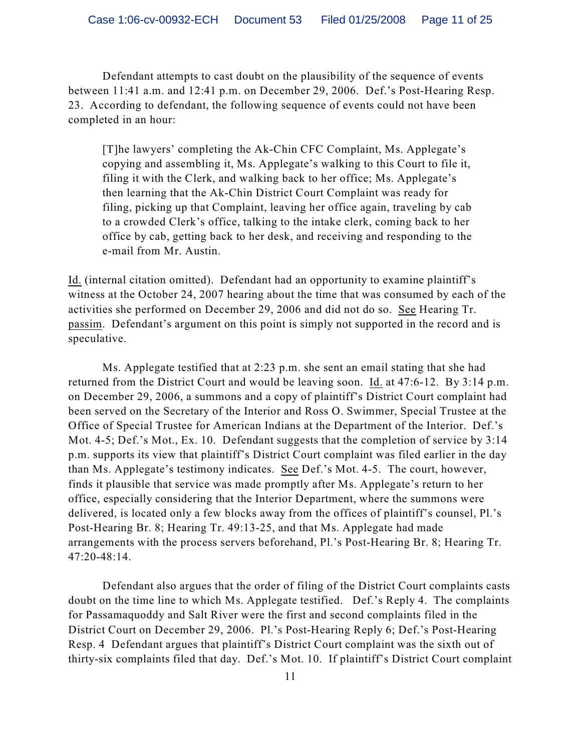Defendant attempts to cast doubt on the plausibility of the sequence of events between 11:41 a.m. and 12:41 p.m. on December 29, 2006. Def.'s Post-Hearing Resp. 23. According to defendant, the following sequence of events could not have been completed in an hour:

[T]he lawyers' completing the Ak-Chin CFC Complaint, Ms. Applegate's copying and assembling it, Ms. Applegate's walking to this Court to file it, filing it with the Clerk, and walking back to her office; Ms. Applegate's then learning that the Ak-Chin District Court Complaint was ready for filing, picking up that Complaint, leaving her office again, traveling by cab to a crowded Clerk's office, talking to the intake clerk, coming back to her office by cab, getting back to her desk, and receiving and responding to the e-mail from Mr. Austin.

Id. (internal citation omitted). Defendant had an opportunity to examine plaintiff's witness at the October 24, 2007 hearing about the time that was consumed by each of the activities she performed on December 29, 2006 and did not do so. See Hearing Tr. passim. Defendant's argument on this point is simply not supported in the record and is speculative.

Ms. Applegate testified that at  $2:23$  p.m. she sent an email stating that she had returned from the District Court and would be leaving soon. Id. at 47:6-12. By 3:14 p.m. on December 29, 2006, a summons and a copy of plaintiff's District Court complaint had been served on the Secretary of the Interior and Ross O. Swimmer, Special Trustee at the Office of Special Trustee for American Indians at the Department of the Interior. Def.'s Mot. 4-5; Def.'s Mot., Ex. 10. Defendant suggests that the completion of service by 3:14 p.m. supports its view that plaintiff's District Court complaint was filed earlier in the day than Ms. Applegate's testimony indicates. See Def.'s Mot. 4-5. The court, however, finds it plausible that service was made promptly after Ms. Applegate's return to her office, especially considering that the Interior Department, where the summons were delivered, is located only a few blocks away from the offices of plaintiff's counsel, Pl.'s Post-Hearing Br. 8; Hearing Tr. 49:13-25, and that Ms. Applegate had made arrangements with the process servers beforehand, Pl.'s Post-Hearing Br. 8; Hearing Tr. 47:20-48:14.

Defendant also argues that the order of filing of the District Court complaints casts doubt on the time line to which Ms. Applegate testified. Def.'s Reply 4. The complaints for Passamaquoddy and Salt River were the first and second complaints filed in the District Court on December 29, 2006. Pl.'s Post-Hearing Reply 6; Def.'s Post-Hearing Resp. 4 Defendant argues that plaintiff's District Court complaint was the sixth out of thirty-six complaints filed that day. Def.'s Mot. 10. If plaintiff's District Court complaint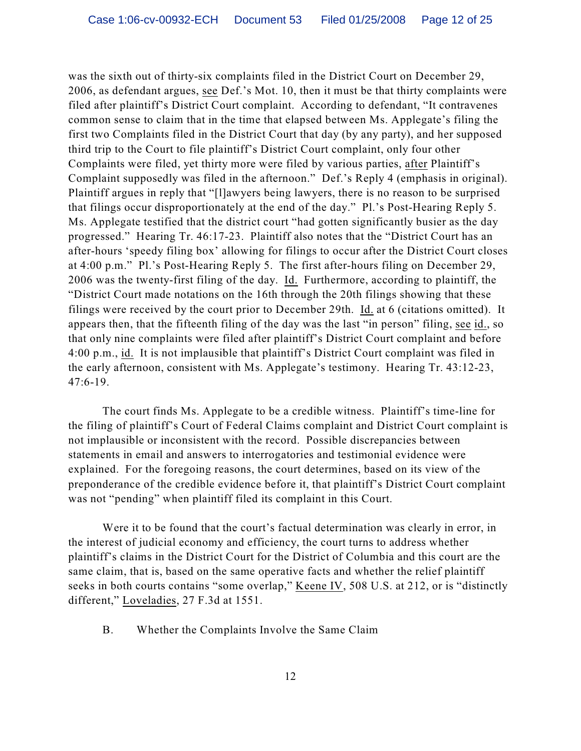was the sixth out of thirty-six complaints filed in the District Court on December 29, 2006, as defendant argues, see Def.'s Mot. 10, then it must be that thirty complaints were filed after plaintiff's District Court complaint. According to defendant, "It contravenes common sense to claim that in the time that elapsed between Ms. Applegate's filing the first two Complaints filed in the District Court that day (by any party), and her supposed third trip to the Court to file plaintiff's District Court complaint, only four other Complaints were filed, yet thirty more were filed by various parties, after Plaintiff's Complaint supposedly was filed in the afternoon." Def.'s Reply 4 (emphasis in original). Plaintiff argues in reply that "[l]awyers being lawyers, there is no reason to be surprised that filings occur disproportionately at the end of the day." Pl.'s Post-Hearing Reply 5. Ms. Applegate testified that the district court "had gotten significantly busier as the day progressed." Hearing Tr. 46:17-23. Plaintiff also notes that the "District Court has an after-hours 'speedy filing box' allowing for filings to occur after the District Court closes at 4:00 p.m." Pl.'s Post-Hearing Reply 5. The first after-hours filing on December 29, 2006 was the twenty-first filing of the day. Id. Furthermore, according to plaintiff, the "District Court made notations on the 16th through the 20th filings showing that these filings were received by the court prior to December 29th. Id. at 6 (citations omitted). It appears then, that the fifteenth filing of the day was the last "in person" filing, see id., so that only nine complaints were filed after plaintiff's District Court complaint and before 4:00 p.m., id. It is not implausible that plaintiff's District Court complaint was filed in the early afternoon, consistent with Ms. Applegate's testimony. Hearing Tr. 43:12-23, 47:6-19.

The court finds Ms. Applegate to be a credible witness. Plaintiff's time-line for the filing of plaintiff's Court of Federal Claims complaint and District Court complaint is not implausible or inconsistent with the record. Possible discrepancies between statements in email and answers to interrogatories and testimonial evidence were explained. For the foregoing reasons, the court determines, based on its view of the preponderance of the credible evidence before it, that plaintiff's District Court complaint was not "pending" when plaintiff filed its complaint in this Court.

Were it to be found that the court's factual determination was clearly in error, in the interest of judicial economy and efficiency, the court turns to address whether plaintiff's claims in the District Court for the District of Columbia and this court are the same claim, that is, based on the same operative facts and whether the relief plaintiff seeks in both courts contains "some overlap," Keene IV, 508 U.S. at 212, or is "distinctly different," Loveladies, 27 F.3d at 1551.

#### B. Whether the Complaints Involve the Same Claim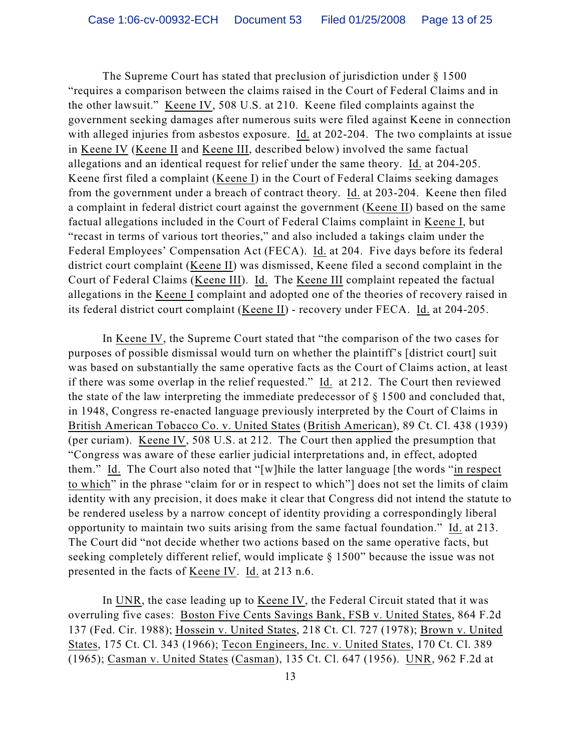The Supreme Court has stated that preclusion of jurisdiction under § 1500 "requires a comparison between the claims raised in the Court of Federal Claims and in the other lawsuit." Keene IV, 508 U.S. at 210. Keene filed complaints against the government seeking damages after numerous suits were filed against Keene in connection with alleged injuries from asbestos exposure. Id. at 202-204. The two complaints at issue in Keene IV (Keene II and Keene III, described below) involved the same factual allegations and an identical request for relief under the same theory. Id. at 204-205. Keene first filed a complaint (Keene I) in the Court of Federal Claims seeking damages from the government under a breach of contract theory. Id. at 203-204. Keene then filed a complaint in federal district court against the government (Keene II) based on the same factual allegations included in the Court of Federal Claims complaint in Keene I, but "recast in terms of various tort theories," and also included a takings claim under the Federal Employees' Compensation Act (FECA). Id. at 204. Five days before its federal district court complaint (Keene II) was dismissed, Keene filed a second complaint in the Court of Federal Claims (Keene III). Id. The Keene III complaint repeated the factual allegations in the Keene I complaint and adopted one of the theories of recovery raised in its federal district court complaint (Keene II) - recovery under FECA. Id. at 204-205.

In Keene IV, the Supreme Court stated that "the comparison of the two cases for purposes of possible dismissal would turn on whether the plaintiff's [district court] suit was based on substantially the same operative facts as the Court of Claims action, at least if there was some overlap in the relief requested." Id. at 212. The Court then reviewed the state of the law interpreting the immediate predecessor of § 1500 and concluded that, in 1948, Congress re-enacted language previously interpreted by the Court of Claims in British American Tobacco Co. v. United States (British American), 89 Ct. Cl. 438 (1939) (per curiam). Keene IV, 508 U.S. at 212. The Court then applied the presumption that "Congress was aware of these earlier judicial interpretations and, in effect, adopted them." Id. The Court also noted that "[w]hile the latter language [the words "in respect to which" in the phrase "claim for or in respect to which"] does not set the limits of claim identity with any precision, it does make it clear that Congress did not intend the statute to be rendered useless by a narrow concept of identity providing a correspondingly liberal opportunity to maintain two suits arising from the same factual foundation." Id. at 213. The Court did "not decide whether two actions based on the same operative facts, but seeking completely different relief, would implicate § 1500" because the issue was not presented in the facts of Keene IV. Id. at 213 n.6.

In UNR, the case leading up to Keene IV, the Federal Circuit stated that it was overruling five cases: Boston Five Cents Savings Bank, FSB v. United States, 864 F.2d 137 (Fed. Cir. 1988); Hossein v. United States, 218 Ct. Cl. 727 (1978); Brown v. United States, 175 Ct. Cl. 343 (1966); Tecon Engineers, Inc. v. United States, 170 Ct. Cl. 389 (1965); Casman v. United States (Casman), 135 Ct. Cl. 647 (1956). UNR, 962 F.2d at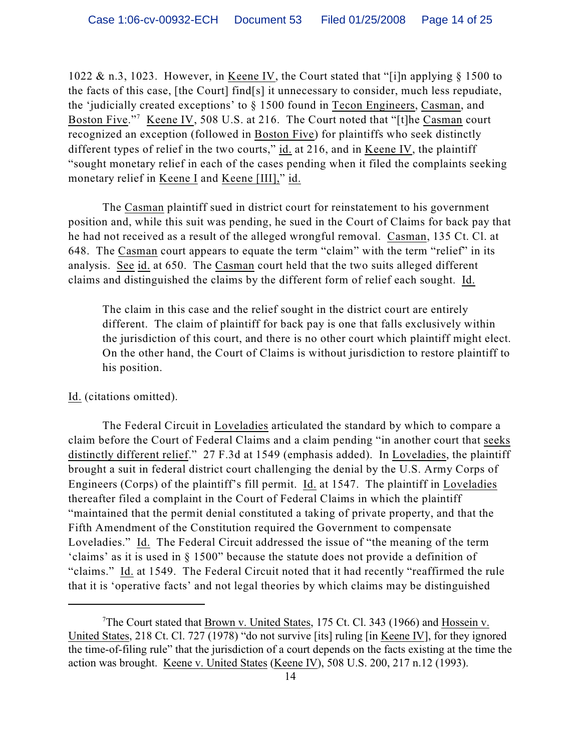1022 & n.3, 1023. However, in Keene IV, the Court stated that "[i]n applying § 1500 to the facts of this case, [the Court] find[s] it unnecessary to consider, much less repudiate, the 'judicially created exceptions' to § 1500 found in Tecon Engineers, Casman, and Boston Five."<sup>7</sup> Keene IV, 508 U.S. at 216. The Court noted that "[t]he Casman court recognized an exception (followed in Boston Five) for plaintiffs who seek distinctly different types of relief in the two courts," id. at 216, and in Keene IV, the plaintiff "sought monetary relief in each of the cases pending when it filed the complaints seeking monetary relief in Keene I and Keene [III]," id.

The Casman plaintiff sued in district court for reinstatement to his government position and, while this suit was pending, he sued in the Court of Claims for back pay that he had not received as a result of the alleged wrongful removal. Casman, 135 Ct. Cl. at 648. The Casman court appears to equate the term "claim" with the term "relief" in its analysis. See id. at 650. The Casman court held that the two suits alleged different claims and distinguished the claims by the different form of relief each sought. Id.

The claim in this case and the relief sought in the district court are entirely different. The claim of plaintiff for back pay is one that falls exclusively within the jurisdiction of this court, and there is no other court which plaintiff might elect. On the other hand, the Court of Claims is without jurisdiction to restore plaintiff to his position.

#### Id. (citations omitted).

The Federal Circuit in Loveladies articulated the standard by which to compare a claim before the Court of Federal Claims and a claim pending "in another court that seeks distinctly different relief." 27 F.3d at 1549 (emphasis added). In Loveladies, the plaintiff brought a suit in federal district court challenging the denial by the U.S. Army Corps of Engineers (Corps) of the plaintiff's fill permit. Id. at 1547. The plaintiff in Loveladies thereafter filed a complaint in the Court of Federal Claims in which the plaintiff "maintained that the permit denial constituted a taking of private property, and that the Fifth Amendment of the Constitution required the Government to compensate Loveladies." Id. The Federal Circuit addressed the issue of "the meaning of the term 'claims' as it is used in § 1500" because the statute does not provide a definition of "claims." Id. at 1549. The Federal Circuit noted that it had recently "reaffirmed the rule that it is 'operative facts' and not legal theories by which claims may be distinguished

<sup>&</sup>lt;sup>7</sup>The Court stated that Brown v. United States, 175 Ct. Cl. 343 (1966) and Hossein v. United States, 218 Ct. Cl. 727 (1978) "do not survive [its] ruling [in <u>Keene IV]</u>, for they ignored the time-of-filing rule" that the jurisdiction of a court depends on the facts existing at the time the action was brought. Keene v. United States (Keene IV), 508 U.S. 200, 217 n.12 (1993).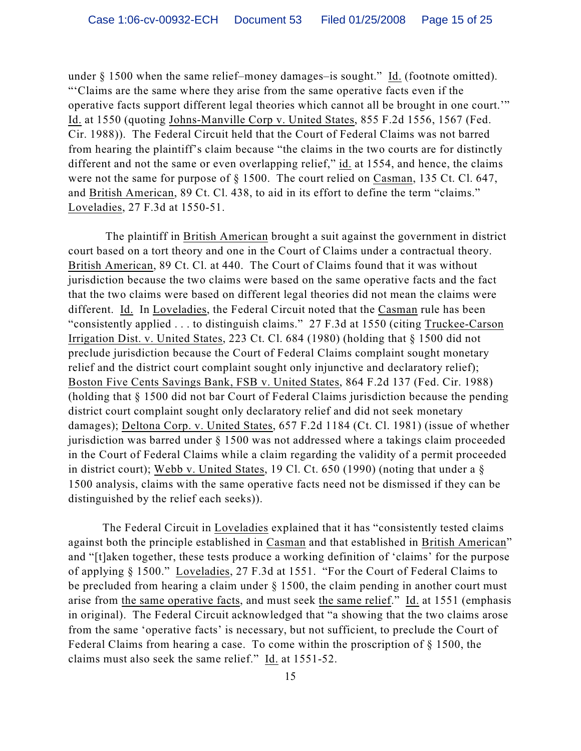under § 1500 when the same relief–money damages–is sought." Id. (footnote omitted). "'Claims are the same where they arise from the same operative facts even if the operative facts support different legal theories which cannot all be brought in one court.'" Id. at 1550 (quoting Johns-Manville Corp v. United States, 855 F.2d 1556, 1567 (Fed. Cir. 1988)). The Federal Circuit held that the Court of Federal Claims was not barred from hearing the plaintiff's claim because "the claims in the two courts are for distinctly different and not the same or even overlapping relief," id. at 1554, and hence, the claims were not the same for purpose of § 1500. The court relied on Casman, 135 Ct. Cl. 647, and British American, 89 Ct. Cl. 438, to aid in its effort to define the term "claims." Loveladies, 27 F.3d at 1550-51.

 The plaintiff in British American brought a suit against the government in district court based on a tort theory and one in the Court of Claims under a contractual theory. British American, 89 Ct. Cl. at 440. The Court of Claims found that it was without jurisdiction because the two claims were based on the same operative facts and the fact that the two claims were based on different legal theories did not mean the claims were different. Id. In Loveladies, the Federal Circuit noted that the Casman rule has been "consistently applied . . . to distinguish claims." 27 F.3d at 1550 (citing Truckee-Carson Irrigation Dist. v. United States, 223 Ct. Cl. 684 (1980) (holding that § 1500 did not preclude jurisdiction because the Court of Federal Claims complaint sought monetary relief and the district court complaint sought only injunctive and declaratory relief); Boston Five Cents Savings Bank, FSB v. United States, 864 F.2d 137 (Fed. Cir. 1988) (holding that § 1500 did not bar Court of Federal Claims jurisdiction because the pending district court complaint sought only declaratory relief and did not seek monetary damages); Deltona Corp. v. United States, 657 F.2d 1184 (Ct. Cl. 1981) (issue of whether jurisdiction was barred under § 1500 was not addressed where a takings claim proceeded in the Court of Federal Claims while a claim regarding the validity of a permit proceeded in district court); Webb v. United States, 19 Cl. Ct. 650 (1990) (noting that under a § 1500 analysis, claims with the same operative facts need not be dismissed if they can be distinguished by the relief each seeks)).

The Federal Circuit in Loveladies explained that it has "consistently tested claims against both the principle established in Casman and that established in British American" and "[t]aken together, these tests produce a working definition of 'claims' for the purpose of applying § 1500." Loveladies, 27 F.3d at 1551. "For the Court of Federal Claims to be precluded from hearing a claim under § 1500, the claim pending in another court must arise from the same operative facts, and must seek the same relief." Id. at 1551 (emphasis in original). The Federal Circuit acknowledged that "a showing that the two claims arose from the same 'operative facts' is necessary, but not sufficient, to preclude the Court of Federal Claims from hearing a case. To come within the proscription of § 1500, the claims must also seek the same relief." Id. at 1551-52.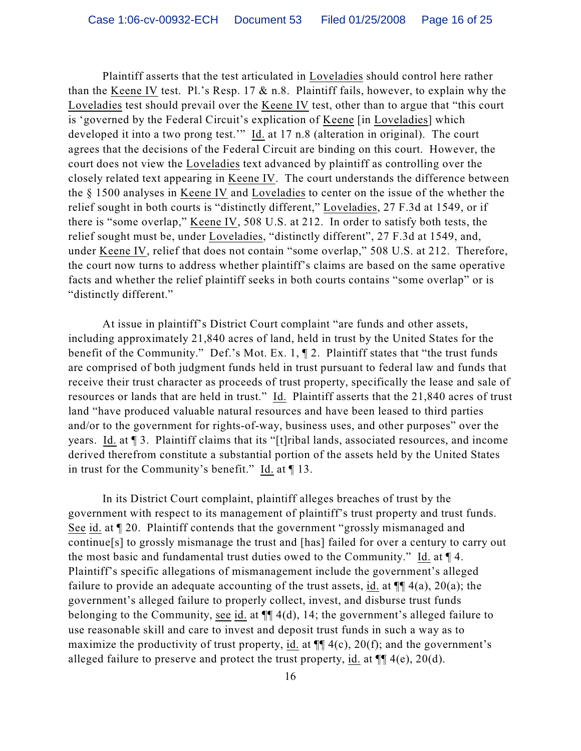Plaintiff asserts that the test articulated in Loveladies should control here rather than the Keene IV test. Pl.'s Resp.  $17 \& n.8$ . Plaintiff fails, however, to explain why the Loveladies test should prevail over the Keene IV test, other than to argue that "this court is 'governed by the Federal Circuit's explication of Keene [in Loveladies] which developed it into a two prong test." Id. at 17 n.8 (alteration in original). The court agrees that the decisions of the Federal Circuit are binding on this court. However, the court does not view the Loveladies text advanced by plaintiff as controlling over the closely related text appearing in Keene IV. The court understands the difference between the § 1500 analyses in Keene IV and Loveladies to center on the issue of the whether the relief sought in both courts is "distinctly different," Loveladies, 27 F.3d at 1549, or if there is "some overlap," Keene IV, 508 U.S. at 212. In order to satisfy both tests, the relief sought must be, under Loveladies, "distinctly different", 27 F.3d at 1549, and, under Keene IV, relief that does not contain "some overlap," 508 U.S. at 212. Therefore, the court now turns to address whether plaintiff's claims are based on the same operative facts and whether the relief plaintiff seeks in both courts contains "some overlap" or is "distinctly different."

At issue in plaintiff's District Court complaint "are funds and other assets, including approximately 21,840 acres of land, held in trust by the United States for the benefit of the Community." Def.'s Mot. Ex. 1, ¶ 2. Plaintiff states that "the trust funds are comprised of both judgment funds held in trust pursuant to federal law and funds that receive their trust character as proceeds of trust property, specifically the lease and sale of resources or lands that are held in trust." Id. Plaintiff asserts that the 21,840 acres of trust land "have produced valuable natural resources and have been leased to third parties and/or to the government for rights-of-way, business uses, and other purposes" over the years. Id. at ¶ 3. Plaintiff claims that its "[t]ribal lands, associated resources, and income derived therefrom constitute a substantial portion of the assets held by the United States in trust for the Community's benefit." Id. at ¶ 13.

In its District Court complaint, plaintiff alleges breaches of trust by the government with respect to its management of plaintiff's trust property and trust funds. See id. at ¶ 20. Plaintiff contends that the government "grossly mismanaged and continue[s] to grossly mismanage the trust and [has] failed for over a century to carry out the most basic and fundamental trust duties owed to the Community." Id. at ¶ 4. Plaintiff's specific allegations of mismanagement include the government's alleged failure to provide an adequate accounting of the trust assets, id. at  $\P\P$  4(a), 20(a); the government's alleged failure to properly collect, invest, and disburse trust funds belonging to the Community, see id. at  $\P$  4(d), 14; the government's alleged failure to use reasonable skill and care to invest and deposit trust funds in such a way as to maximize the productivity of trust property, id. at  $\P\P$  4(c), 20(f); and the government's alleged failure to preserve and protect the trust property, id. at  $\P\P$  4(e), 20(d).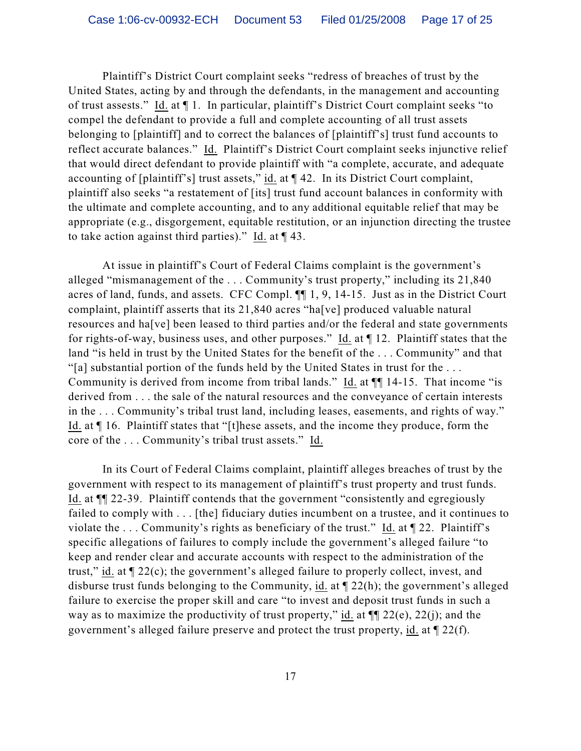Plaintiff's District Court complaint seeks "redress of breaches of trust by the United States, acting by and through the defendants, in the management and accounting of trust assests." Id. at ¶ 1. In particular, plaintiff's District Court complaint seeks "to compel the defendant to provide a full and complete accounting of all trust assets belonging to [plaintiff] and to correct the balances of [plaintiff's] trust fund accounts to reflect accurate balances." Id. Plaintiff's District Court complaint seeks injunctive relief that would direct defendant to provide plaintiff with "a complete, accurate, and adequate accounting of [plaintiff's] trust assets," id. at ¶ 42. In its District Court complaint, plaintiff also seeks "a restatement of [its] trust fund account balances in conformity with the ultimate and complete accounting, and to any additional equitable relief that may be appropriate (e.g., disgorgement, equitable restitution, or an injunction directing the trustee to take action against third parties)." Id. at  $\P$  43.

At issue in plaintiff's Court of Federal Claims complaint is the government's alleged "mismanagement of the . . . Community's trust property," including its 21,840 acres of land, funds, and assets. CFC Compl. ¶¶ 1, 9, 14-15. Just as in the District Court complaint, plaintiff asserts that its 21,840 acres "ha[ve] produced valuable natural resources and ha[ve] been leased to third parties and/or the federal and state governments for rights-of-way, business uses, and other purposes." Id. at ¶ 12. Plaintiff states that the land "is held in trust by the United States for the benefit of the . . . Community" and that "[a] substantial portion of the funds held by the United States in trust for the . . . Community is derived from income from tribal lands." Id. at ¶¶ 14-15. That income "is derived from . . . the sale of the natural resources and the conveyance of certain interests in the . . . Community's tribal trust land, including leases, easements, and rights of way." Id. at ¶ 16. Plaintiff states that "[t]hese assets, and the income they produce, form the core of the . . . Community's tribal trust assets." Id.

In its Court of Federal Claims complaint, plaintiff alleges breaches of trust by the government with respect to its management of plaintiff's trust property and trust funds. Id. at ¶¶ 22-39. Plaintiff contends that the government "consistently and egregiously failed to comply with . . . [the] fiduciary duties incumbent on a trustee, and it continues to violate the . . . Community's rights as beneficiary of the trust." Id. at ¶ 22. Plaintiff's specific allegations of failures to comply include the government's alleged failure "to keep and render clear and accurate accounts with respect to the administration of the trust," id. at ¶ 22(c); the government's alleged failure to properly collect, invest, and disburse trust funds belonging to the Community, id. at ¶ 22(h); the government's alleged failure to exercise the proper skill and care "to invest and deposit trust funds in such a way as to maximize the productivity of trust property," id. at  $\P$  22(e), 22(j); and the government's alleged failure preserve and protect the trust property, id. at ¶ 22(f).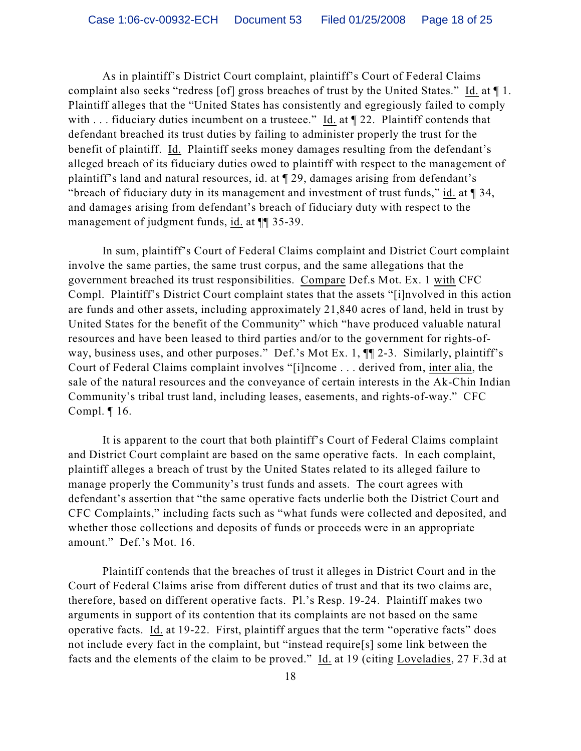As in plaintiff's District Court complaint, plaintiff's Court of Federal Claims complaint also seeks "redress [of] gross breaches of trust by the United States." Id. at ¶ 1. Plaintiff alleges that the "United States has consistently and egregiously failed to comply with . . . fiduciary duties incumbent on a trusteee." Id. at  $\P$  22. Plaintiff contends that defendant breached its trust duties by failing to administer properly the trust for the benefit of plaintiff. Id. Plaintiff seeks money damages resulting from the defendant's alleged breach of its fiduciary duties owed to plaintiff with respect to the management of plaintiff's land and natural resources, id. at ¶ 29, damages arising from defendant's "breach of fiduciary duty in its management and investment of trust funds," id. at ¶ 34, and damages arising from defendant's breach of fiduciary duty with respect to the management of judgment funds, id. at ¶¶ 35-39.

In sum, plaintiff's Court of Federal Claims complaint and District Court complaint involve the same parties, the same trust corpus, and the same allegations that the government breached its trust responsibilities. Compare Def.s Mot. Ex. 1 with CFC Compl. Plaintiff's District Court complaint states that the assets "[i]nvolved in this action are funds and other assets, including approximately 21,840 acres of land, held in trust by United States for the benefit of the Community" which "have produced valuable natural resources and have been leased to third parties and/or to the government for rights-ofway, business uses, and other purposes." Def.'s Mot Ex. 1,  $\P$  2-3. Similarly, plaintiff's Court of Federal Claims complaint involves "[i]ncome . . . derived from, inter alia, the sale of the natural resources and the conveyance of certain interests in the Ak-Chin Indian Community's tribal trust land, including leases, easements, and rights-of-way." CFC Compl. ¶ 16.

It is apparent to the court that both plaintiff's Court of Federal Claims complaint and District Court complaint are based on the same operative facts. In each complaint, plaintiff alleges a breach of trust by the United States related to its alleged failure to manage properly the Community's trust funds and assets. The court agrees with defendant's assertion that "the same operative facts underlie both the District Court and CFC Complaints," including facts such as "what funds were collected and deposited, and whether those collections and deposits of funds or proceeds were in an appropriate amount." Def.'s Mot. 16.

Plaintiff contends that the breaches of trust it alleges in District Court and in the Court of Federal Claims arise from different duties of trust and that its two claims are, therefore, based on different operative facts. Pl.'s Resp. 19-24. Plaintiff makes two arguments in support of its contention that its complaints are not based on the same operative facts. Id. at 19-22. First, plaintiff argues that the term "operative facts" does not include every fact in the complaint, but "instead require[s] some link between the facts and the elements of the claim to be proved." Id. at 19 (citing Loveladies, 27 F.3d at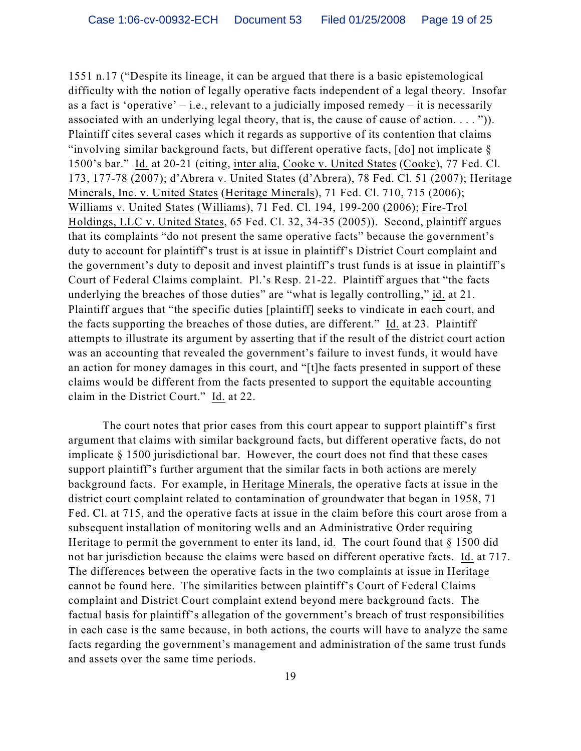1551 n.17 ("Despite its lineage, it can be argued that there is a basic epistemological difficulty with the notion of legally operative facts independent of a legal theory. Insofar as a fact is 'operative' – i.e., relevant to a judicially imposed remedy – it is necessarily associated with an underlying legal theory, that is, the cause of cause of action.  $\dots$  ")). Plaintiff cites several cases which it regards as supportive of its contention that claims "involving similar background facts, but different operative facts, [do] not implicate § 1500's bar." Id. at 20-21 (citing, inter alia, Cooke v. United States (Cooke), 77 Fed. Cl. 173, 177-78 (2007); d'Abrera v. United States (d'Abrera), 78 Fed. Cl. 51 (2007); Heritage Minerals, Inc. v. United States (Heritage Minerals), 71 Fed. Cl. 710, 715 (2006); Williams v. United States (Williams), 71 Fed. Cl. 194, 199-200 (2006); Fire-Trol Holdings, LLC v. United States, 65 Fed. Cl. 32, 34-35 (2005)). Second, plaintiff argues that its complaints "do not present the same operative facts" because the government's duty to account for plaintiff's trust is at issue in plaintiff's District Court complaint and the government's duty to deposit and invest plaintiff's trust funds is at issue in plaintiff's Court of Federal Claims complaint. Pl.'s Resp. 21-22. Plaintiff argues that "the facts underlying the breaches of those duties" are "what is legally controlling," id. at 21. Plaintiff argues that "the specific duties [plaintiff] seeks to vindicate in each court, and the facts supporting the breaches of those duties, are different." Id. at 23. Plaintiff attempts to illustrate its argument by asserting that if the result of the district court action was an accounting that revealed the government's failure to invest funds, it would have an action for money damages in this court, and "[t]he facts presented in support of these claims would be different from the facts presented to support the equitable accounting claim in the District Court." Id. at 22.

The court notes that prior cases from this court appear to support plaintiff's first argument that claims with similar background facts, but different operative facts, do not implicate § 1500 jurisdictional bar. However, the court does not find that these cases support plaintiff's further argument that the similar facts in both actions are merely background facts. For example, in Heritage Minerals, the operative facts at issue in the district court complaint related to contamination of groundwater that began in 1958, 71 Fed. Cl. at 715, and the operative facts at issue in the claim before this court arose from a subsequent installation of monitoring wells and an Administrative Order requiring Heritage to permit the government to enter its land, id. The court found that § 1500 did not bar jurisdiction because the claims were based on different operative facts. Id. at 717. The differences between the operative facts in the two complaints at issue in Heritage cannot be found here. The similarities between plaintiff's Court of Federal Claims complaint and District Court complaint extend beyond mere background facts. The factual basis for plaintiff's allegation of the government's breach of trust responsibilities in each case is the same because, in both actions, the courts will have to analyze the same facts regarding the government's management and administration of the same trust funds and assets over the same time periods.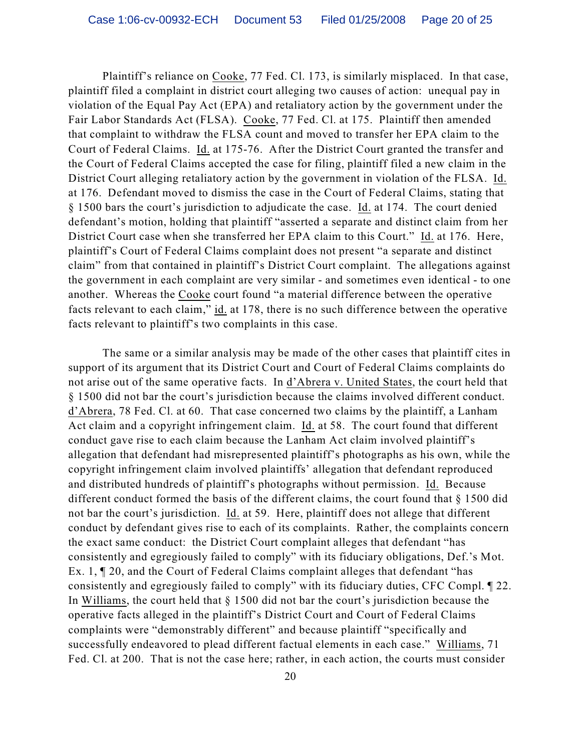Plaintiff's reliance on Cooke, 77 Fed. Cl. 173, is similarly misplaced. In that case, plaintiff filed a complaint in district court alleging two causes of action: unequal pay in violation of the Equal Pay Act (EPA) and retaliatory action by the government under the Fair Labor Standards Act (FLSA). Cooke, 77 Fed. Cl. at 175. Plaintiff then amended that complaint to withdraw the FLSA count and moved to transfer her EPA claim to the Court of Federal Claims. Id. at 175-76. After the District Court granted the transfer and the Court of Federal Claims accepted the case for filing, plaintiff filed a new claim in the District Court alleging retaliatory action by the government in violation of the FLSA. Id. at 176. Defendant moved to dismiss the case in the Court of Federal Claims, stating that § 1500 bars the court's jurisdiction to adjudicate the case. Id. at 174. The court denied defendant's motion, holding that plaintiff "asserted a separate and distinct claim from her District Court case when she transferred her EPA claim to this Court." Id. at 176. Here, plaintiff's Court of Federal Claims complaint does not present "a separate and distinct claim" from that contained in plaintiff's District Court complaint. The allegations against the government in each complaint are very similar - and sometimes even identical - to one another. Whereas the Cooke court found "a material difference between the operative facts relevant to each claim," id. at 178, there is no such difference between the operative facts relevant to plaintiff's two complaints in this case.

The same or a similar analysis may be made of the other cases that plaintiff cites in support of its argument that its District Court and Court of Federal Claims complaints do not arise out of the same operative facts. In d'Abrera v. United States, the court held that § 1500 did not bar the court's jurisdiction because the claims involved different conduct. d'Abrera, 78 Fed. Cl. at 60. That case concerned two claims by the plaintiff, a Lanham Act claim and a copyright infringement claim. Id. at 58. The court found that different conduct gave rise to each claim because the Lanham Act claim involved plaintiff's allegation that defendant had misrepresented plaintiff's photographs as his own, while the copyright infringement claim involved plaintiffs' allegation that defendant reproduced and distributed hundreds of plaintiff's photographs without permission. Id. Because different conduct formed the basis of the different claims, the court found that § 1500 did not bar the court's jurisdiction. Id. at 59. Here, plaintiff does not allege that different conduct by defendant gives rise to each of its complaints. Rather, the complaints concern the exact same conduct: the District Court complaint alleges that defendant "has consistently and egregiously failed to comply" with its fiduciary obligations, Def.'s Mot. Ex. 1, ¶ 20, and the Court of Federal Claims complaint alleges that defendant "has consistently and egregiously failed to comply" with its fiduciary duties, CFC Compl. ¶ 22. In Williams, the court held that § 1500 did not bar the court's jurisdiction because the operative facts alleged in the plaintiff's District Court and Court of Federal Claims complaints were "demonstrably different" and because plaintiff "specifically and successfully endeavored to plead different factual elements in each case." Williams, 71 Fed. Cl. at 200. That is not the case here; rather, in each action, the courts must consider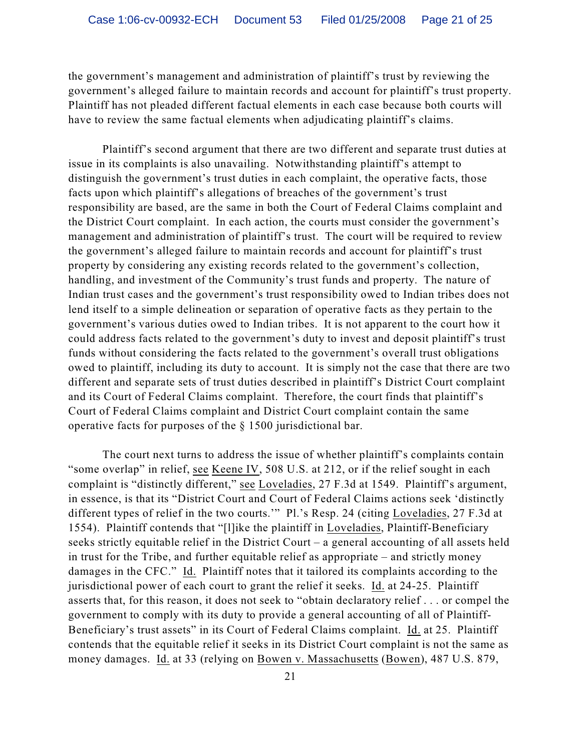the government's management and administration of plaintiff's trust by reviewing the government's alleged failure to maintain records and account for plaintiff's trust property. Plaintiff has not pleaded different factual elements in each case because both courts will have to review the same factual elements when adjudicating plaintiff's claims.

Plaintiff's second argument that there are two different and separate trust duties at issue in its complaints is also unavailing. Notwithstanding plaintiff's attempt to distinguish the government's trust duties in each complaint, the operative facts, those facts upon which plaintiff's allegations of breaches of the government's trust responsibility are based, are the same in both the Court of Federal Claims complaint and the District Court complaint. In each action, the courts must consider the government's management and administration of plaintiff's trust. The court will be required to review the government's alleged failure to maintain records and account for plaintiff's trust property by considering any existing records related to the government's collection, handling, and investment of the Community's trust funds and property. The nature of Indian trust cases and the government's trust responsibility owed to Indian tribes does not lend itself to a simple delineation or separation of operative facts as they pertain to the government's various duties owed to Indian tribes. It is not apparent to the court how it could address facts related to the government's duty to invest and deposit plaintiff's trust funds without considering the facts related to the government's overall trust obligations owed to plaintiff, including its duty to account. It is simply not the case that there are two different and separate sets of trust duties described in plaintiff's District Court complaint and its Court of Federal Claims complaint. Therefore, the court finds that plaintiff's Court of Federal Claims complaint and District Court complaint contain the same operative facts for purposes of the § 1500 jurisdictional bar.

The court next turns to address the issue of whether plaintiff's complaints contain "some overlap" in relief, see Keene IV, 508 U.S. at 212, or if the relief sought in each complaint is "distinctly different," see Loveladies, 27 F.3d at 1549. Plaintiff's argument, in essence, is that its "District Court and Court of Federal Claims actions seek 'distinctly different types of relief in the two courts.'" Pl.'s Resp. 24 (citing Loveladies, 27 F.3d at 1554). Plaintiff contends that "[l]ike the plaintiff in Loveladies, Plaintiff-Beneficiary seeks strictly equitable relief in the District Court – a general accounting of all assets held in trust for the Tribe, and further equitable relief as appropriate – and strictly money damages in the CFC." Id. Plaintiff notes that it tailored its complaints according to the jurisdictional power of each court to grant the relief it seeks. Id. at 24-25. Plaintiff asserts that, for this reason, it does not seek to "obtain declaratory relief . . . or compel the government to comply with its duty to provide a general accounting of all of Plaintiff-Beneficiary's trust assets" in its Court of Federal Claims complaint. Id. at 25. Plaintiff contends that the equitable relief it seeks in its District Court complaint is not the same as money damages. Id. at 33 (relying on Bowen v. Massachusetts (Bowen), 487 U.S. 879,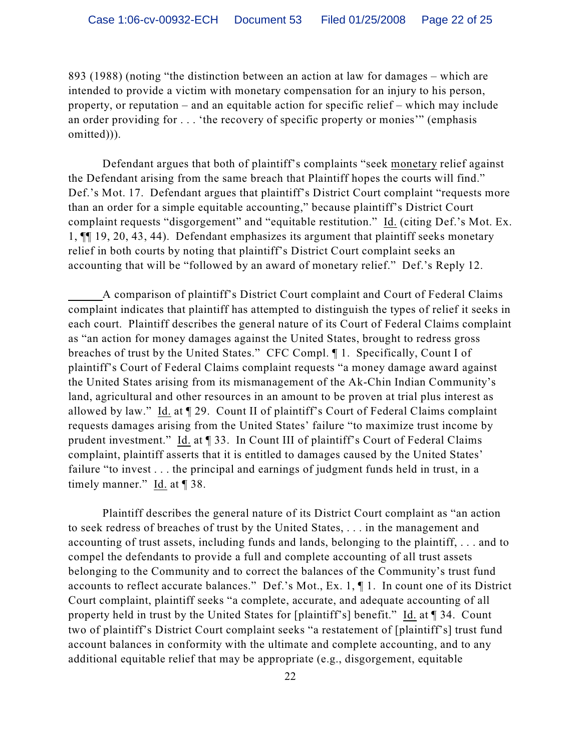893 (1988) (noting "the distinction between an action at law for damages – which are intended to provide a victim with monetary compensation for an injury to his person, property, or reputation – and an equitable action for specific relief – which may include an order providing for . . . 'the recovery of specific property or monies'" (emphasis omitted))).

Defendant argues that both of plaintiff's complaints "seek monetary relief against the Defendant arising from the same breach that Plaintiff hopes the courts will find." Def.'s Mot. 17. Defendant argues that plaintiff's District Court complaint "requests more than an order for a simple equitable accounting," because plaintiff's District Court complaint requests "disgorgement" and "equitable restitution." Id. (citing Def.'s Mot. Ex. 1, ¶¶ 19, 20, 43, 44). Defendant emphasizes its argument that plaintiff seeks monetary relief in both courts by noting that plaintiff's District Court complaint seeks an accounting that will be "followed by an award of monetary relief." Def.'s Reply 12.

A comparison of plaintiff's District Court complaint and Court of Federal Claims complaint indicates that plaintiff has attempted to distinguish the types of relief it seeks in each court. Plaintiff describes the general nature of its Court of Federal Claims complaint as "an action for money damages against the United States, brought to redress gross breaches of trust by the United States." CFC Compl. ¶ 1. Specifically, Count I of plaintiff's Court of Federal Claims complaint requests "a money damage award against the United States arising from its mismanagement of the Ak-Chin Indian Community's land, agricultural and other resources in an amount to be proven at trial plus interest as allowed by law." Id. at ¶ 29. Count II of plaintiff's Court of Federal Claims complaint requests damages arising from the United States' failure "to maximize trust income by prudent investment." Id. at ¶ 33. In Count III of plaintiff's Court of Federal Claims complaint, plaintiff asserts that it is entitled to damages caused by the United States' failure "to invest . . . the principal and earnings of judgment funds held in trust, in a timely manner."  $\underline{Id}$  at  $\P$  38.

Plaintiff describes the general nature of its District Court complaint as "an action to seek redress of breaches of trust by the United States, . . . in the management and accounting of trust assets, including funds and lands, belonging to the plaintiff, . . . and to compel the defendants to provide a full and complete accounting of all trust assets belonging to the Community and to correct the balances of the Community's trust fund accounts to reflect accurate balances." Def.'s Mot., Ex. 1, ¶ 1. In count one of its District Court complaint, plaintiff seeks "a complete, accurate, and adequate accounting of all property held in trust by the United States for [plaintiff's] benefit." Id. at [34. Count two of plaintiff's District Court complaint seeks "a restatement of [plaintiff's] trust fund account balances in conformity with the ultimate and complete accounting, and to any additional equitable relief that may be appropriate (e.g., disgorgement, equitable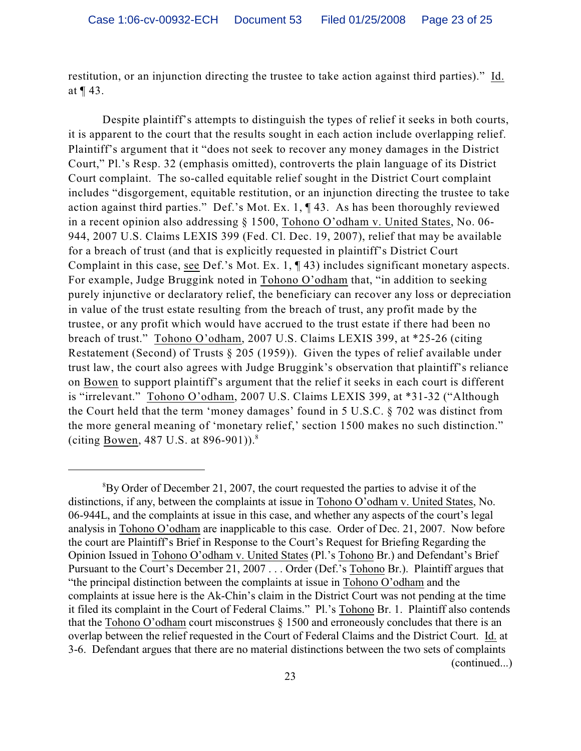restitution, or an injunction directing the trustee to take action against third parties)." Id. at ¶ 43.

Despite plaintiff's attempts to distinguish the types of relief it seeks in both courts, it is apparent to the court that the results sought in each action include overlapping relief. Plaintiff's argument that it "does not seek to recover any money damages in the District Court," Pl.'s Resp. 32 (emphasis omitted), controverts the plain language of its District Court complaint. The so-called equitable relief sought in the District Court complaint includes "disgorgement, equitable restitution, or an injunction directing the trustee to take action against third parties." Def.'s Mot. Ex. 1, ¶ 43. As has been thoroughly reviewed in a recent opinion also addressing § 1500, Tohono O'odham v. United States, No. 06- 944, 2007 U.S. Claims LEXIS 399 (Fed. Cl. Dec. 19, 2007), relief that may be available for a breach of trust (and that is explicitly requested in plaintiff's District Court Complaint in this case, see Def.'s Mot. Ex. 1, ¶ 43) includes significant monetary aspects. For example, Judge Bruggink noted in Tohono O'odham that, "in addition to seeking purely injunctive or declaratory relief, the beneficiary can recover any loss or depreciation in value of the trust estate resulting from the breach of trust, any profit made by the trustee, or any profit which would have accrued to the trust estate if there had been no breach of trust." Tohono O'odham, 2007 U.S. Claims LEXIS 399, at \*25-26 (citing Restatement (Second) of Trusts § 205 (1959)). Given the types of relief available under trust law, the court also agrees with Judge Bruggink's observation that plaintiff's reliance on Bowen to support plaintiff's argument that the relief it seeks in each court is different is "irrelevant." Tohono O'odham, 2007 U.S. Claims LEXIS 399, at \*31-32 ("Although the Court held that the term 'money damages' found in 5 U.S.C. § 702 was distinct from the more general meaning of 'monetary relief,' section 1500 makes no such distinction." (citing <u>Bowen</u>, 487 U.S. at 896-901)).<sup>8</sup>

 ${}^{8}$ By Order of December 21, 2007, the court requested the parties to advise it of the distinctions, if any, between the complaints at issue in Tohono O'odham v. United States, No. 06-944L, and the complaints at issue in this case, and whether any aspects of the court's legal analysis in Tohono O'odham are inapplicable to this case. Order of Dec. 21, 2007. Now before the court are Plaintiff's Brief in Response to the Court's Request for Briefing Regarding the Opinion Issued in Tohono O'odham v. United States (Pl.'s Tohono Br.) and Defendant's Brief Pursuant to the Court's December 21, 2007 . . . Order (Def.'s Tohono Br.). Plaintiff argues that "the principal distinction between the complaints at issue in Tohono O'odham and the complaints at issue here is the Ak-Chin's claim in the District Court was not pending at the time it filed its complaint in the Court of Federal Claims." Pl.'s Tohono Br. 1. Plaintiff also contends that the Tohono O'odham court misconstrues § 1500 and erroneously concludes that there is an overlap between the relief requested in the Court of Federal Claims and the District Court. Id. at 3-6. Defendant argues that there are no material distinctions between the two sets of complaints (continued...)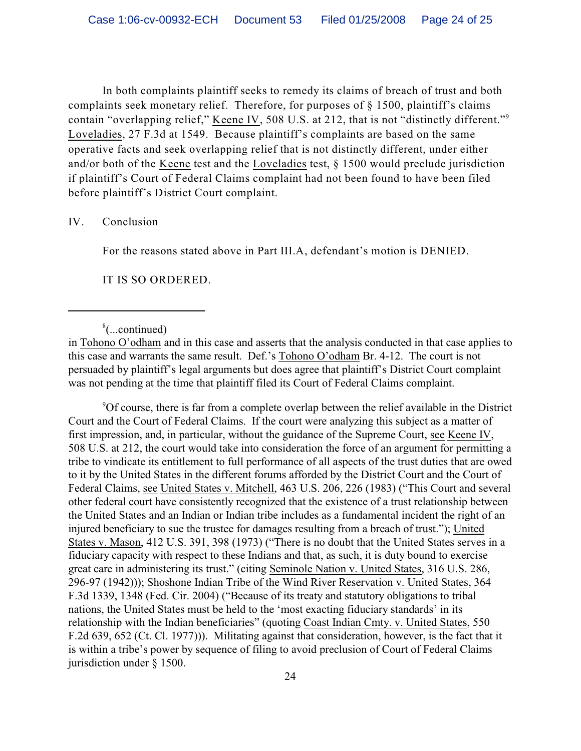In both complaints plaintiff seeks to remedy its claims of breach of trust and both complaints seek monetary relief. Therefore, for purposes of § 1500, plaintiff's claims contain "overlapping relief," Keene IV, 508 U.S. at 212, that is not "distinctly different."<sup>9</sup> Loveladies, 27 F.3d at 1549. Because plaintiff's complaints are based on the same operative facts and seek overlapping relief that is not distinctly different, under either and/or both of the Keene test and the Loveladies test, § 1500 would preclude jurisdiction if plaintiff's Court of Federal Claims complaint had not been found to have been filed before plaintiff's District Court complaint.

IV. Conclusion

For the reasons stated above in Part III.A, defendant's motion is DENIED.

IT IS SO ORDERED.

 $\frac{8}{2}$ ...continued)

in Tohono O'odham and in this case and asserts that the analysis conducted in that case applies to this case and warrants the same result. Def.'s Tohono O'odham Br. 4-12. The court is not persuaded by plaintiff's legal arguments but does agree that plaintiff's District Court complaint was not pending at the time that plaintiff filed its Court of Federal Claims complaint.

 $\rm{POT}$  course, there is far from a complete overlap between the relief available in the District Court and the Court of Federal Claims. If the court were analyzing this subject as a matter of first impression, and, in particular, without the guidance of the Supreme Court, see Keene IV, 508 U.S. at 212, the court would take into consideration the force of an argument for permitting a tribe to vindicate its entitlement to full performance of all aspects of the trust duties that are owed to it by the United States in the different forums afforded by the District Court and the Court of Federal Claims, see United States v. Mitchell, 463 U.S. 206, 226 (1983) ("This Court and several other federal court have consistently recognized that the existence of a trust relationship between the United States and an Indian or Indian tribe includes as a fundamental incident the right of an injured beneficiary to sue the trustee for damages resulting from a breach of trust."); United States v. Mason, 412 U.S. 391, 398 (1973) ("There is no doubt that the United States serves in a fiduciary capacity with respect to these Indians and that, as such, it is duty bound to exercise great care in administering its trust." (citing Seminole Nation v. United States, 316 U.S. 286, 296-97 (1942))); Shoshone Indian Tribe of the Wind River Reservation v. United States, 364 F.3d 1339, 1348 (Fed. Cir. 2004) ("Because of its treaty and statutory obligations to tribal nations, the United States must be held to the 'most exacting fiduciary standards' in its relationship with the Indian beneficiaries" (quoting Coast Indian Cmty. v. United States, 550 F.2d 639, 652 (Ct. Cl. 1977))). Militating against that consideration, however, is the fact that it is within a tribe's power by sequence of filing to avoid preclusion of Court of Federal Claims jurisdiction under § 1500.